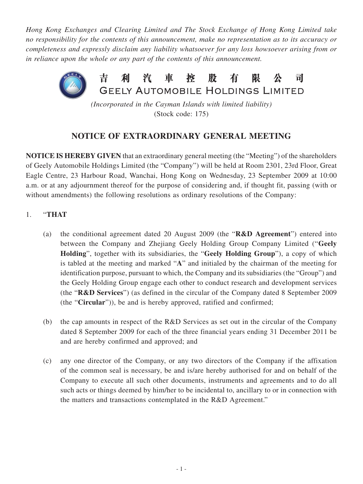*Hong Kong Exchanges and Clearing Limited and The Stock Exchange of Hong Kong Limited take no responsibility for the contents of this announcement, make no representation as to its accuracy or completeness and expressly disclaim any liability whatsoever for any loss howsoever arising from or in reliance upon the whole or any part of the contents of this announcement.*



*(Incorporated in the Cayman Islands with limited liability)* (Stock code: 175)

## **NOTICE OF EXTRAORDINARY GENERAL MEETING**

**NOTICE IS HEREBY GIVEN** that an extraordinary general meeting (the "Meeting") of the shareholders of Geely Automobile Holdings Limited (the "Company") will be held at Room 2301, 23rd Floor, Great Eagle Centre, 23 Harbour Road, Wanchai, Hong Kong on Wednesday, 23 September 2009 at 10:00 a.m. or at any adjournment thereof for the purpose of considering and, if thought fit, passing (with or without amendments) the following resolutions as ordinary resolutions of the Company:

- 1. "**THAT**
	- (a) the conditional agreement dated 20 August 2009 (the "**R&D Agreement**") entered into between the Company and Zhejiang Geely Holding Group Company Limited ("**Geely Holding**", together with its subsidiaries, the "**Geely Holding Group**"), a copy of which is tabled at the meeting and marked "**A**" and initialed by the chairman of the meeting for identification purpose, pursuant to which, the Company and its subsidiaries (the "Group") and the Geely Holding Group engage each other to conduct research and development services (the "**R&D Services**") (as defined in the circular of the Company dated 8 September 2009 (the "**Circular**")), be and is hereby approved, ratified and confirmed;
	- (b) the cap amounts in respect of the R&D Services as set out in the circular of the Company dated 8 September 2009 for each of the three financial years ending 31 December 2011 be and are hereby confirmed and approved; and
	- (c) any one director of the Company, or any two directors of the Company if the affixation of the common seal is necessary, be and is/are hereby authorised for and on behalf of the Company to execute all such other documents, instruments and agreements and to do all such acts or things deemed by him/her to be incidental to, ancillary to or in connection with the matters and transactions contemplated in the R&D Agreement."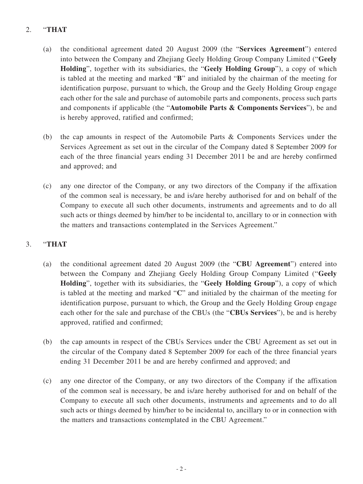## 2. "**THAT**

- (a) the conditional agreement dated 20 August 2009 (the "**Services Agreement**") entered into between the Company and Zhejiang Geely Holding Group Company Limited ("**Geely Holding**", together with its subsidiaries, the "**Geely Holding Group**"), a copy of which is tabled at the meeting and marked "**B**" and initialed by the chairman of the meeting for identification purpose, pursuant to which, the Group and the Geely Holding Group engage each other for the sale and purchase of automobile parts and components, process such parts and components if applicable (the "**Automobile Parts & Components Services**"), be and is hereby approved, ratified and confirmed;
- (b) the cap amounts in respect of the Automobile Parts & Components Services under the Services Agreement as set out in the circular of the Company dated 8 September 2009 for each of the three financial years ending 31 December 2011 be and are hereby confirmed and approved; and
- (c) any one director of the Company, or any two directors of the Company if the affixation of the common seal is necessary, be and is/are hereby authorised for and on behalf of the Company to execute all such other documents, instruments and agreements and to do all such acts or things deemed by him/her to be incidental to, ancillary to or in connection with the matters and transactions contemplated in the Services Agreement."

## 3. "**THAT**

- (a) the conditional agreement dated 20 August 2009 (the "**CBU Agreement**") entered into between the Company and Zhejiang Geely Holding Group Company Limited ("**Geely Holding**", together with its subsidiaries, the "**Geely Holding Group**"), a copy of which is tabled at the meeting and marked "**C**" and initialed by the chairman of the meeting for identification purpose, pursuant to which, the Group and the Geely Holding Group engage each other for the sale and purchase of the CBUs (the "**CBUs Services**"), be and is hereby approved, ratified and confirmed;
- (b) the cap amounts in respect of the CBUs Services under the CBU Agreement as set out in the circular of the Company dated 8 September 2009 for each of the three financial years ending 31 December 2011 be and are hereby confirmed and approved; and
- (c) any one director of the Company, or any two directors of the Company if the affixation of the common seal is necessary, be and is/are hereby authorised for and on behalf of the Company to execute all such other documents, instruments and agreements and to do all such acts or things deemed by him/her to be incidental to, ancillary to or in connection with the matters and transactions contemplated in the CBU Agreement."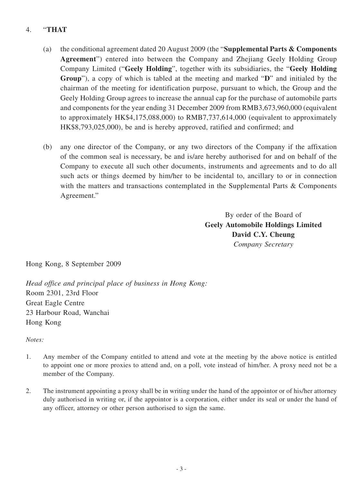## 4. "**THAT**

- (a) the conditional agreement dated 20 August 2009 (the "**Supplemental Parts & Components Agreement**") entered into between the Company and Zhejiang Geely Holding Group Company Limited ("**Geely Holding**", together with its subsidiaries, the "**Geely Holding Group**"), a copy of which is tabled at the meeting and marked "**D**" and initialed by the chairman of the meeting for identification purpose, pursuant to which, the Group and the Geely Holding Group agrees to increase the annual cap for the purchase of automobile parts and components for the year ending 31 December 2009 from RMB3,673,960,000 (equivalent to approximately HK\$4,175,088,000) to RMB7,737,614,000 (equivalent to approximately HK\$8,793,025,000), be and is hereby approved, ratified and confirmed; and
- (b) any one director of the Company, or any two directors of the Company if the affixation of the common seal is necessary, be and is/are hereby authorised for and on behalf of the Company to execute all such other documents, instruments and agreements and to do all such acts or things deemed by him/her to be incidental to, ancillary to or in connection with the matters and transactions contemplated in the Supplemental Parts & Components Agreement."

By order of the Board of **Geely Automobile Holdings Limited David C.Y. Cheung** *Company Secretary*

Hong Kong, 8 September 2009

*Head office and principal place of business in Hong Kong:* Room 2301, 23rd Floor Great Eagle Centre 23 Harbour Road, Wanchai Hong Kong

*Notes:*

- 1. Any member of the Company entitled to attend and vote at the meeting by the above notice is entitled to appoint one or more proxies to attend and, on a poll, vote instead of him/her. A proxy need not be a member of the Company.
- 2. The instrument appointing a proxy shall be in writing under the hand of the appointor or of his/her attorney duly authorised in writing or, if the appointor is a corporation, either under its seal or under the hand of any officer, attorney or other person authorised to sign the same.